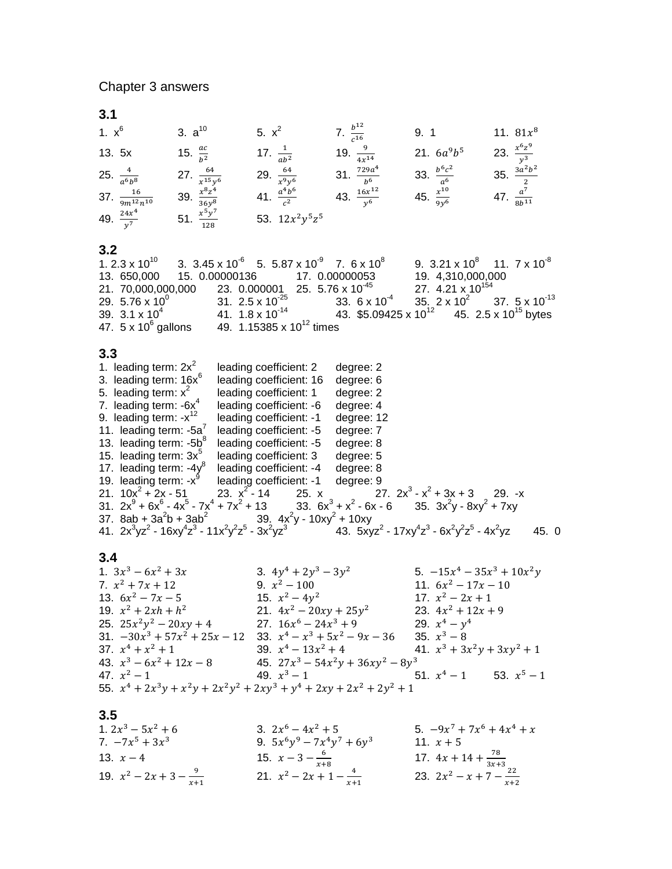**3.1**

| 1. $x^6$                       | 3. $a^{10}$                | 5. $x^2$                 | 7. $\frac{b^{12}}{c^{16}}$ | 9. 1                    | 11. $81x^8$               |
|--------------------------------|----------------------------|--------------------------|----------------------------|-------------------------|---------------------------|
| 13. 5x                         | 15. $\frac{ac}{b^2}$       | 17. $\frac{1}{ab^2}$     | 19. $\frac{9}{4x^{14}}$    | 21. $6a^9b^5$           | 23. $\frac{x^6z^9}{y^3}$  |
| 25. $\frac{4}{a^6b^8}$         | 27. $\frac{64}{x^{15}y^6}$ | 29. $\frac{64}{x^9y^6}$  | 31. $rac{729a^4}{b^6}$     | 33. $rac{b^6c^2}{a^6}$  | 35. $\frac{3a^2b^2}{2}$   |
| 37. $\frac{16}{9m^{12}n^{10}}$ | 39. $rac{x^8z^4}{36y^8}$   | 41. $\frac{a^4b^6}{c^2}$ | 43. $\frac{16x^{12}}{y^6}$ | 45. $rac{x^{10}}{9y^6}$ | 47. $\frac{a^7}{8b^{11}}$ |
| 49. $\frac{24x^4}{y^7}$        | 51. $\frac{x^5y^7}{128}$   | 53. $12x^2y^5z^5$        |                            |                         |                           |

## **3.2**

| 1. 2.3 x 10 <sup>10</sup>                                                                                            |  | 3. $3.45 \times 10^{-6}$ 5. $5.87 \times 10^{-9}$ 7. $6 \times 10^{8}$ |  |                                                                                        | 9. $3.21 \times 10^8$ 11. $7 \times 10^{-8}$ |  |
|----------------------------------------------------------------------------------------------------------------------|--|------------------------------------------------------------------------|--|----------------------------------------------------------------------------------------|----------------------------------------------|--|
| 13. 650,000  15. 0.00000136  17. 0.00000053                                                                          |  |                                                                        |  |                                                                                        | 19. 4,310,000,000                            |  |
| 21. 70,000,000,000 23. 0.000001 25. 5.76 x 10 <sup>-45</sup>                                                         |  |                                                                        |  |                                                                                        | 27. $4.21 \times 10^{154}$                   |  |
| 29. $5.76 \times 10^{0}$ 31. $2.5 \times 10^{25}$ 33. $6 \times 10^{4}$ 35. $2 \times 10^{2}$ 37. $5 \times 10^{13}$ |  |                                                                        |  |                                                                                        |                                              |  |
| 39. $3.1 \times 10^4$                                                                                                |  |                                                                        |  | 41. $1.8 \times 10^{-14}$ 43. $$5.09425 \times 10^{12}$ 45. $2.5 \times 10^{15}$ bytes |                                              |  |
| 47. $5 \times 10^6$ gallons                                                                                          |  | 49. 1.15385 x $10^{12}$ times                                          |  |                                                                                        |                                              |  |

## **3.3**

| 1. leading term: $2x^2$                             | leading coefficient: 2                                                     | degree: 2                                                                                             |      |  |
|-----------------------------------------------------|----------------------------------------------------------------------------|-------------------------------------------------------------------------------------------------------|------|--|
| 3. leading term: 16x <sup>6</sup>                   | leading coefficient: 16                                                    | degree: 6                                                                                             |      |  |
| 5. leading term: $x^2$                              | leading coefficient: 1                                                     | degree: 2                                                                                             |      |  |
| 7. leading term: $-6x^4$                            | leading coefficient: -6                                                    | degree: 4                                                                                             |      |  |
| 9. leading term: $-x^{12}$                          | leading coefficient: -1                                                    | degree: 12                                                                                            |      |  |
| 11. leading term: $-5a'$                            | leading coefficient: -5                                                    | degree: 7                                                                                             |      |  |
| 13. leading term: -5b <sup>8</sup>                  | leading coefficient: -5                                                    | degree: 8                                                                                             |      |  |
| 15. leading term: $3x^{\circ}$                      | leading coefficient: 3                                                     | degree: 5                                                                                             |      |  |
| 17. leading term: $-4y^8$                           | leading coefficient: -4                                                    | degree: 8                                                                                             |      |  |
| 19. leading term: $-x^9$                            | leading coefficient: -1                                                    | degree: 9                                                                                             |      |  |
| 21. $10x^2 + 2x - 51$                               | 23. $x^2 - 14$                                                             | 25. x 27. $2x^3 - x^2 + 3x + 3$<br>$29. -x$                                                           |      |  |
|                                                     |                                                                            | 31. $2x^9 + 6x^6 - 4x^5 - 7x^4 + 7x^2 + 13$<br>33. $6x^3 + x^2 - 6x - 6$<br>35. $3x^2y - 8xy^2 + 7xy$ |      |  |
|                                                     | 37. 8ab + 3a <sup>2</sup> b + 3ab <sup>2</sup> 39. $4x^2y - 10xy^2 + 10xy$ |                                                                                                       |      |  |
| 41. $2x^3yz^2 - 16xy^4z^3 - 11x^2y^2z^5 - 3x^2yz^3$ |                                                                            | 43. $5xyz^2 - 17xy^4z^3 - 6x^2y^2z^5 - 4x^2yz$                                                        | 45.0 |  |

## **3.4**

| 1. $3x^3 - 6x^2 + 3x$                                            | 3. $4y^4 + 2y^3 - 3y^2$                                                  | 5. $-15x^4 - 35x^3 + 10x^2y$  |
|------------------------------------------------------------------|--------------------------------------------------------------------------|-------------------------------|
| 7. $x^2 + 7x + 12$                                               | 9. $x^2 - 100$                                                           | 11. $6x^2 - 17x - 10$         |
| 13. $6x^2 - 7x - 5$                                              | 15. $x^2 - 4y^2$                                                         | 17. $x^2 - 2x + 1$            |
| 19. $x^2 + 2xh + h^2$                                            | 21. $4x^2 - 20xy + 25y^2$                                                | 23. $4x^2 + 12x + 9$          |
| 25. $25x^2y^2 - 20xy + 4$                                        | 27. $16x^6 - 24x^3 + 9$                                                  | 29. $x^4 - y^4$               |
| 31. $-30x^3 + 57x^2 + 25x - 12$ 33. $x^4 - x^3 + 5x^2 - 9x - 36$ |                                                                          | 35. $x^3 - 8$                 |
| 37. $x^4 + x^2 + 1$                                              | 39. $x^4 - 13x^2 + 4$                                                    | 41. $x^3 + 3x^2y + 3xy^2 + 1$ |
| 43. $x^3 - 6x^2 + 12x - 8$                                       | 45. $27x^3 - 54x^2y + 36xy^2 - 8y^3$                                     |                               |
| 47. $x^2-1$                                                      | 49. $x^3-1$ 51. $x^4-1$ 53. $x^5-1$                                      |                               |
|                                                                  | 55. $x^4 + 2x^3y + x^2y + 2x^2y^2 + 2xy^3 + y^4 + 2xy + 2x^2 + 2y^2 + 1$ |                               |

## **3.5**

| 1. $2x^3 - 5x^2 + 6$         | 3. $2x^6 - 4x^2 + 5$          | 5. $-9x^7 + 7x^6 + 4x^4 + x$        |
|------------------------------|-------------------------------|-------------------------------------|
| 7. $-7x^5 + 3x^3$            | 9. $5x^6y^9 - 7x^4y^7 + 6y^3$ | 11. $x + 5$                         |
| 13. $x - 4$                  | 15. $x-3-\frac{6}{x+8}$       | 17. $4x + 14 + \frac{78}{3x+3}$     |
| 19. $x^2-2x+3-\frac{9}{x+1}$ | 21. $x^2-2x+1-\frac{4}{x+1}$  | 23. $2x^2 - x + 7 - \frac{22}{x+2}$ |